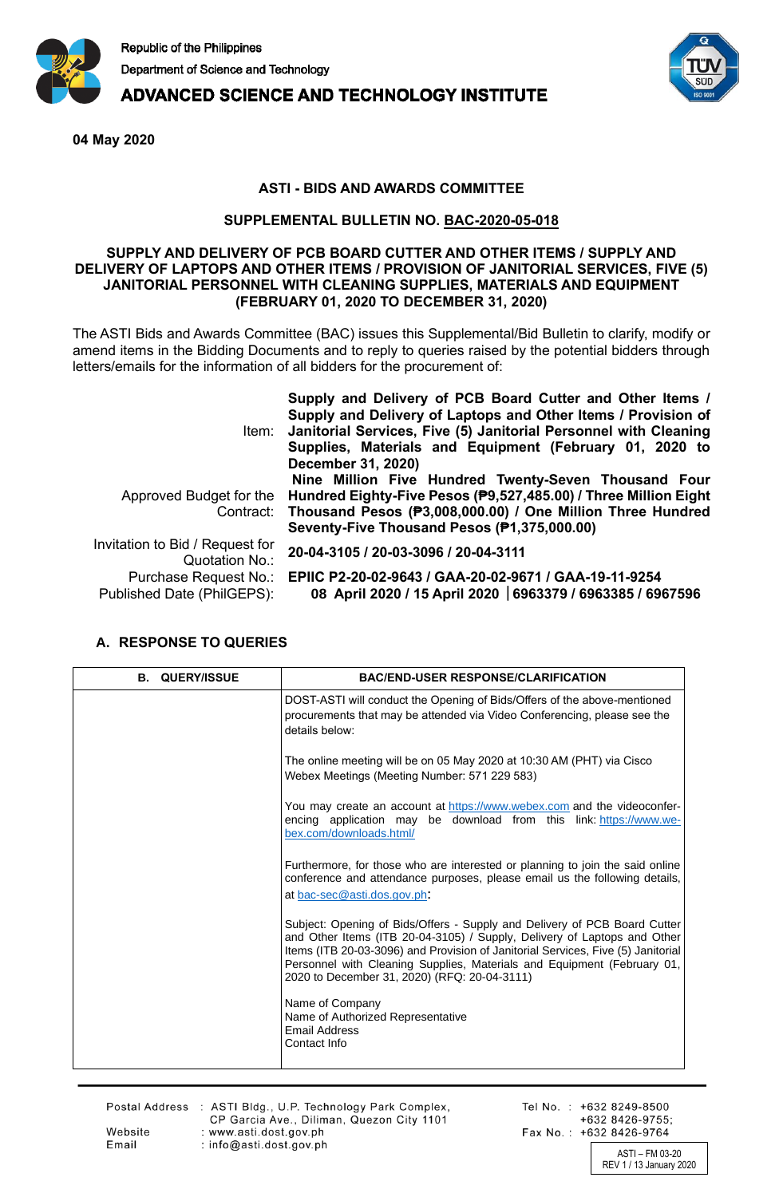

**ADVANCED SCIENCE AND TECHNOLOGY INSTITUTE** 



**04 May 2020**

## **ASTI - BIDS AND AWARDS COMMITTEE**

## **SUPPLEMENTAL BULLETIN NO. BAC-2020-05-018**

## **SUPPLY AND DELIVERY OF PCB BOARD CUTTER AND OTHER ITEMS / SUPPLY AND DELIVERY OF LAPTOPS AND OTHER ITEMS / PROVISION OF JANITORIAL SERVICES, FIVE (5) JANITORIAL PERSONNEL WITH CLEANING SUPPLIES, MATERIALS AND EQUIPMENT (FEBRUARY 01, 2020 TO DECEMBER 31, 2020)**

The ASTI Bids and Awards Committee (BAC) issues this Supplemental/Bid Bulletin to clarify, modify or amend items in the Bidding Documents and to reply to queries raised by the potential bidders through letters/emails for the information of all bidders for the procurement of:

|                                                     | Supply and Delivery of PCB Board Cutter and Other Items /<br>Supply and Delivery of Laptops and Other Items / Provision of<br>Item: Janitorial Services, Five (5) Janitorial Personnel with Cleaning<br>Supplies, Materials and Equipment (February 01, 2020 to<br>December 31, 2020) |
|-----------------------------------------------------|---------------------------------------------------------------------------------------------------------------------------------------------------------------------------------------------------------------------------------------------------------------------------------------|
|                                                     | Nine Million Five Hundred Twenty-Seven Thousand Four<br>Approved Budget for the Hundred Eighty-Five Pesos (P9,527,485.00) / Three Million Eight<br>Contract: Thousand Pesos (P3,008,000.00) / One Million Three Hundred<br>Seventy-Five Thousand Pesos (P1,375,000.00)                |
| Invitation to Bid / Request for<br>Quotation No.:   | 20-04-3105 / 20-03-3096 / 20-04-3111                                                                                                                                                                                                                                                  |
| Purchase Request No.:<br>Published Date (PhilGEPS): | EPIIC P2-20-02-9643 / GAA-20-02-9671 / GAA-19-11-9254<br>08 April 2020 / 15 April 2020   6963379 / 6963385 / 6967596                                                                                                                                                                  |

## **A. RESPONSE TO QUERIES**

| <b>B. QUERY/ISSUE</b> | <b>BAC/END-USER RESPONSE/CLARIFICATION</b>                                                                                                                                                                                                                                                                                                                           |
|-----------------------|----------------------------------------------------------------------------------------------------------------------------------------------------------------------------------------------------------------------------------------------------------------------------------------------------------------------------------------------------------------------|
|                       | DOST-ASTI will conduct the Opening of Bids/Offers of the above-mentioned<br>procurements that may be attended via Video Conferencing, please see the<br>details below:                                                                                                                                                                                               |
|                       | The online meeting will be on 05 May 2020 at 10:30 AM (PHT) via Cisco<br>Webex Meetings (Meeting Number: 571 229 583)                                                                                                                                                                                                                                                |
|                       | You may create an account at https://www.webex.com and the videoconfer-<br>encing application may be download from this link: https://www.we-<br>bex.com/downloads.html/                                                                                                                                                                                             |
|                       | Furthermore, for those who are interested or planning to join the said online<br>conference and attendance purposes, please email us the following details,<br>at <u>bac-sec@asti.dos.gov.ph</u> :                                                                                                                                                                   |
|                       | Subject: Opening of Bids/Offers - Supply and Delivery of PCB Board Cutter<br>and Other Items (ITB 20-04-3105) / Supply, Delivery of Laptops and Other<br>Items (ITB 20-03-3096) and Provision of Janitorial Services, Five (5) Janitorial<br>Personnel with Cleaning Supplies, Materials and Equipment (February 01,<br>2020 to December 31, 2020) (RFQ: 20-04-3111) |
|                       | Name of Company<br>Name of Authorized Representative<br><b>Email Address</b><br>Contact Info                                                                                                                                                                                                                                                                         |